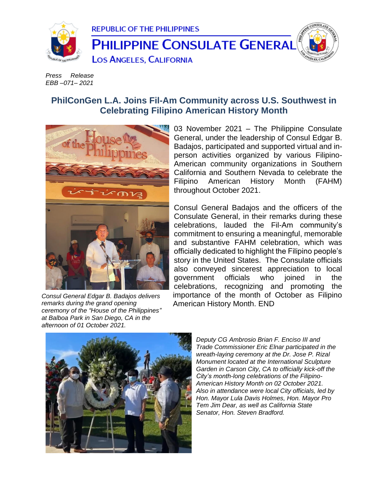

*Press Release EBB –071– 2021*

## **PhilConGen L.A. Joins Fil-Am Community across U.S. Southwest in Celebrating Filipino American History Month**



*Consul General Edgar B. Badajos delivers remarks during the grand opening ceremony of the "House of the Philippines" at Balboa Park in San Diego, CA in the afternoon of 01 October 2021.*

03 November 2021 – The Philippine Consulate General, under the leadership of Consul Edgar B. Badajos, participated and supported virtual and inperson activities organized by various Filipino-American community organizations in Southern California and Southern Nevada to celebrate the Filipino American History Month (FAHM) throughout October 2021.

Consul General Badajos and the officers of the Consulate General, in their remarks during these celebrations, lauded the Fil-Am community's commitment to ensuring a meaningful, memorable and substantive FAHM celebration, which was officially dedicated to highlight the Filipino people's story in the United States. The Consulate officials also conveyed sincerest appreciation to local government officials who joined in the celebrations, recognizing and promoting the importance of the month of October as Filipino American History Month. END



*Deputy CG Ambrosio Brian F. Enciso III and Trade Commissioner Eric Elnar participated in the wreath-laying ceremony at the Dr. Jose P. Rizal Monument located at the International Sculpture Garden in Carson City, CA to officially kick-off the City's month-long celebrations of the Filipino-American History Month on 02 October 2021. Also in attendance were local City officials, led by Hon. Mayor Lula Davis Holmes, Hon. Mayor Pro Tem Jim Dear, as well as California State Senator, Hon. Steven Bradford.*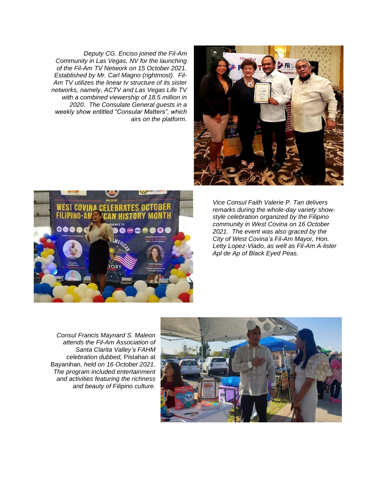*Deputy CG. Enciso joined the Fil-Am Community in Las Vegas, NV for the launching of the Fil-Am TV Network on 15 October 2021. Established by Mr. Carl Magno (rightmost). Fil-Am TV utilizes the linear tv structure of its sister networks, namely, ACTV and Las Vegas Life TV with a combined viewership of 18.5 million in 2020. The Consulate General guests in a weekly show entitled "Consular Matters", which airs on the platform.*





*Vice Consul Faith Valerie P. Tan delivers remarks during the whole-day variety showstyle celebration organized by the Filipino community in West Covina on 16 October 2021. The event was also graced by the City of West Covina's Fil-Am Mayor, Hon. Letty Lopez-Viado, as well as Fil-Am A-lister Apl de Ap of Black Eyed Peas.*

*Consul Francis Maynard S. Maleon attends the Fil-Am Association of Santa Clarita Valley's FAHM celebration dubbed,* Pistahan at Bayanihan, *held on 16 October 2021. The program included entertainment and activities featuring the richness and beauty of Filipino culture.*

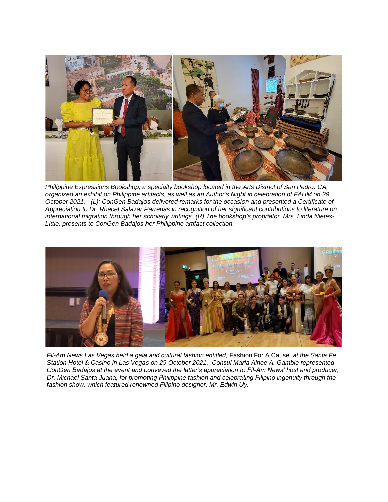

*Philippine Expressions Bookshop, a specialty bookshop located in the Arts District of San Pedro, CA, organized an exhibit on Philippine artifacts, as well as an Author's Night in celebration of FAHM on 29 October 2021. (L): ConGen Badajos delivered remarks for the occasion and presented a Certificate of Appreciation to Dr. Rhacel Salazar Parrenas in recognition of her significant contributions to literature on international migration through her scholarly writings. (R) The bookshop's proprietor, Mrs. Linda Nietes-Little, presents to ConGen Badajos her Philippine artifact collection.*



*Fil-Am News Las Vegas held a gala and cultural fashion entitled,* Fashion For A Cause*, at the Santa Fe Station Hotel & Casino in Las Vegas on 29 October 2021. Consul Maria Alnee A. Gamble represented ConGen Badajos at the event and conveyed the latter's appreciation to Fil-Am News' host and producer, Dr. Michael Santa Juana, for promoting Philippine fashion and celebrating Filipino ingenuity through the fashion show, which featured renowned Filipino designer, Mr. Edwin Uy.*